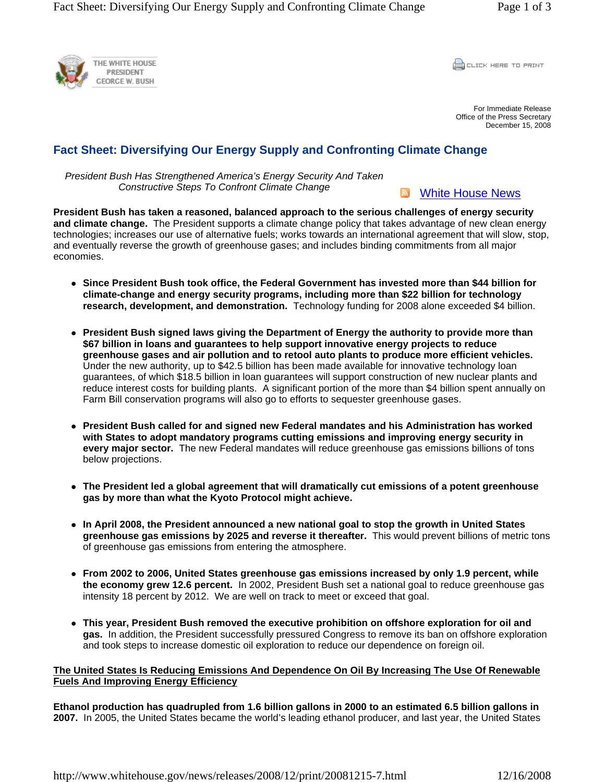

CLICK HERE TO PRINT

For Immediate Release Office of the Press Secretary December 15, 2008

# **Fact Sheet: Diversifying Our Energy Supply and Confronting Climate Change**

*President Bush Has Strengthened America's Energy Security And Taken Constructive Steps To Confront Climate Change* 

White House News

**President Bush has taken a reasoned, balanced approach to the serious challenges of energy security and climate change.** The President supports a climate change policy that takes advantage of new clean energy technologies; increases our use of alternative fuels; works towards an international agreement that will slow, stop, and eventually reverse the growth of greenhouse gases; and includes binding commitments from all major economies.

- Since President Bush took office, the Federal Government has invested more than \$44 billion for **climate-change and energy security programs, including more than \$22 billion for technology research, development, and demonstration.** Technology funding for 2008 alone exceeded \$4 billion.
- President Bush signed laws giving the Department of Energy the authority to provide more than **\$67 billion in loans and guarantees to help support innovative energy projects to reduce greenhouse gases and air pollution and to retool auto plants to produce more efficient vehicles.**  Under the new authority, up to \$42.5 billion has been made available for innovative technology loan guarantees, of which \$18.5 billion in loan guarantees will support construction of new nuclear plants and reduce interest costs for building plants. A significant portion of the more than \$4 billion spent annually on Farm Bill conservation programs will also go to efforts to sequester greenhouse gases.
- **President Bush called for and signed new Federal mandates and his Administration has worked with States to adopt mandatory programs cutting emissions and improving energy security in every major sector.** The new Federal mandates will reduce greenhouse gas emissions billions of tons below projections.
- The President led a global agreement that will dramatically cut emissions of a potent greenhouse **gas by more than what the Kyoto Protocol might achieve.**
- In April 2008, the President announced a new national goal to stop the growth in United States **greenhouse gas emissions by 2025 and reverse it thereafter.** This would prevent billions of metric tons of greenhouse gas emissions from entering the atmosphere.
- From 2002 to 2006, United States greenhouse gas emissions increased by only 1.9 percent, while **the economy grew 12.6 percent.** In 2002, President Bush set a national goal to reduce greenhouse gas intensity 18 percent by 2012. We are well on track to meet or exceed that goal.
- This year, President Bush removed the executive prohibition on offshore exploration for oil and **gas.** In addition, the President successfully pressured Congress to remove its ban on offshore exploration and took steps to increase domestic oil exploration to reduce our dependence on foreign oil.

## **The United States Is Reducing Emissions And Dependence On Oil By Increasing The Use Of Renewable Fuels And Improving Energy Efficiency**

**Ethanol production has quadrupled from 1.6 billion gallons in 2000 to an estimated 6.5 billion gallons in 2007.** In 2005, the United States became the world's leading ethanol producer, and last year, the United States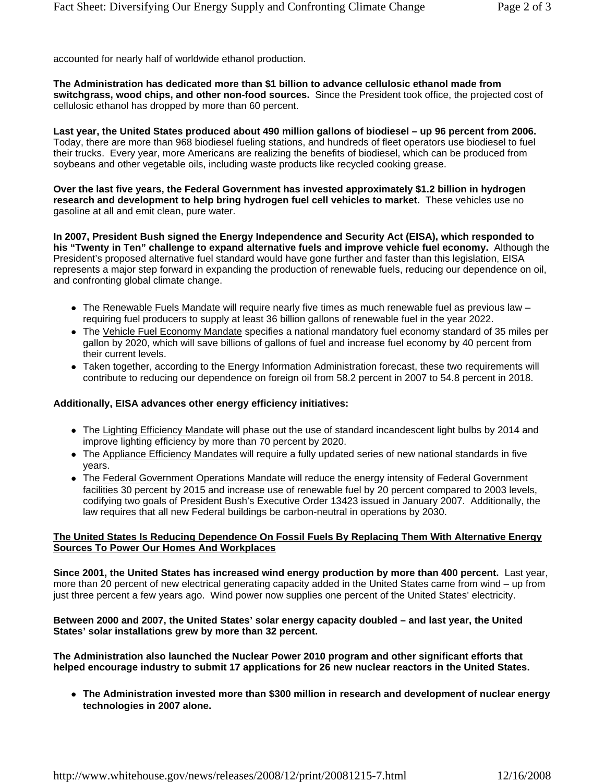accounted for nearly half of worldwide ethanol production.

**The Administration has dedicated more than \$1 billion to advance cellulosic ethanol made from switchgrass, wood chips, and other non-food sources.** Since the President took office, the projected cost of cellulosic ethanol has dropped by more than 60 percent.

**Last year, the United States produced about 490 million gallons of biodiesel – up 96 percent from 2006.** Today, there are more than 968 biodiesel fueling stations, and hundreds of fleet operators use biodiesel to fuel their trucks. Every year, more Americans are realizing the benefits of biodiesel, which can be produced from soybeans and other vegetable oils, including waste products like recycled cooking grease.

**Over the last five years, the Federal Government has invested approximately \$1.2 billion in hydrogen research and development to help bring hydrogen fuel cell vehicles to market.** These vehicles use no gasoline at all and emit clean, pure water.

**In 2007, President Bush signed the Energy Independence and Security Act (EISA), which responded to his "Twenty in Ten" challenge to expand alternative fuels and improve vehicle fuel economy.** Although the President's proposed alternative fuel standard would have gone further and faster than this legislation, EISA represents a major step forward in expanding the production of renewable fuels, reducing our dependence on oil, and confronting global climate change.

- The Renewable Fuels Mandate will require nearly five times as much renewable fuel as previous law  $$ requiring fuel producers to supply at least 36 billion gallons of renewable fuel in the year 2022.
- The Vehicle Fuel Economy Mandate specifies a national mandatory fuel economy standard of 35 miles per gallon by 2020, which will save billions of gallons of fuel and increase fuel economy by 40 percent from their current levels.
- Taken together, according to the Energy Information Administration forecast, these two requirements will contribute to reducing our dependence on foreign oil from 58.2 percent in 2007 to 54.8 percent in 2018.

#### **Additionally, EISA advances other energy efficiency initiatives:**

- The Lighting Efficiency Mandate will phase out the use of standard incandescent light bulbs by 2014 and improve lighting efficiency by more than 70 percent by 2020.
- The Appliance Efficiency Mandates will require a fully updated series of new national standards in five years.
- The Federal Government Operations Mandate will reduce the energy intensity of Federal Government facilities 30 percent by 2015 and increase use of renewable fuel by 20 percent compared to 2003 levels, codifying two goals of President Bush's Executive Order 13423 issued in January 2007. Additionally, the law requires that all new Federal buildings be carbon-neutral in operations by 2030.

#### **The United States Is Reducing Dependence On Fossil Fuels By Replacing Them With Alternative Energy Sources To Power Our Homes And Workplaces**

**Since 2001, the United States has increased wind energy production by more than 400 percent.** Last year, more than 20 percent of new electrical generating capacity added in the United States came from wind – up from just three percent a few years ago. Wind power now supplies one percent of the United States' electricity.

#### **Between 2000 and 2007, the United States' solar energy capacity doubled – and last year, the United States' solar installations grew by more than 32 percent.**

**The Administration also launched the Nuclear Power 2010 program and other significant efforts that helped encourage industry to submit 17 applications for 26 new nuclear reactors in the United States.**

• The Administration invested more than \$300 million in research and development of nuclear energy **technologies in 2007 alone.**